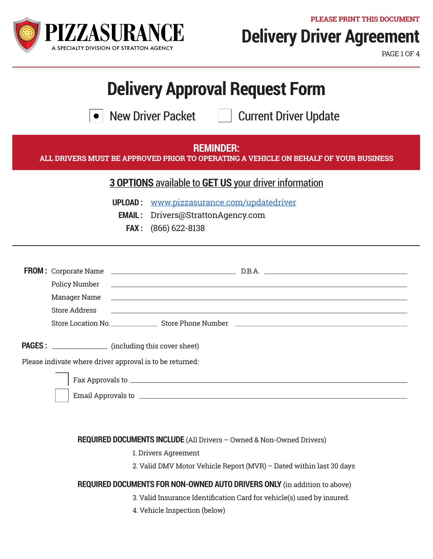



PAGE 1 OF 4

# **Delivery Approval Request Form** New Driver Packet Current Driver Update **REMINDER:** ALL DRIVERS MUST BE APPROVED PRIOR TO OPERATING A VEHICLE ON BEHALF OF YOUR BUSINESS 3 OPTIONS available to GET US your driver information **UPLOAD:** www.pizzasurance.com/updatedriver **EMAIL:** Drivers@StrattonAgency.com **FAX:** (866) 622-8138 Policy Number Manager Name **Store Address** Store Location No. 50 Store Phone Number PAGES : \_\_\_\_\_\_\_\_\_\_\_\_\_\_\_ (including this cover sheet) Please indivate where driver approval is to be returned: Fax Approvals to example and the set of the set of the set of the set of the set of the set of the set of the set of the set of the set of the set of the set of the set of the set of the set of the set of the set of the se

**REQUIRED DOCUMENTS INCLUDE** (All Drivers - Owned & Non-Owned Drivers)

- 1. Drivers Agreement
- 2. Valid DMV Motor Vehicle Report (MVR) Dated within last 30 days

#### **REQUIRED DOCUMENTS FOR NON-OWNED AUTO DRIVERS ONLY** (in addition to above)

- 3. Valid Insurance Identification Card for vehicle(s) used by insured.
- 4. Vehicle Inspection (below)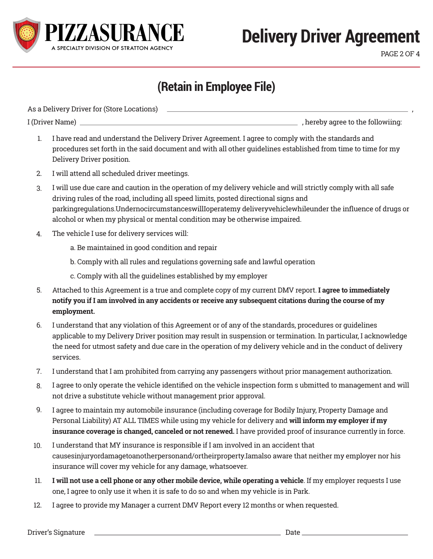

PAGE 2 OF 4

## (Retain in Employee File)

As a Delivery Driver for (Store Locations) \_ I (Driver Name)

hereby agree to the followiing:

- I have read and understand the Delivery Driver Agreement. I agree to comply with the standards and  $1.$ procedures set forth in the said document and with all other quidelines established from time to time for my Delivery Driver position.
- $2.$ I will attend all scheduled driver meetings.
- I will use due care and caution in the operation of my delivery vehicle and will strictly comply with all safe 3. driving rules of the road, including all speed limits, posted directional signs and parking regulations. Undernocircumstances will Ioperate my delivery vehicle while under the influence of drugs or alcohol or when my physical or mental condition may be otherwise impaired.
- The vehicle I use for delivery services will:  $\overline{4}$ .

a. Be maintained in good condition and repair

- b. Comply with all rules and regulations governing safe and lawful operation
- c. Comply with all the quidelines established by my employer
- 5. Attached to this Agreement is a true and complete copy of my current DMV report. I agree to immediately notify you if I am involved in any accidents or receive any subsequent citations during the course of my employment.
- I understand that any violation of this Agreement or of any of the standards, procedures or quidelines 6. applicable to my Delivery Driver position may result in suspension or termination. In particular, I acknowledge the need for utmost safety and due care in the operation of my delivery vehicle and in the conduct of delivery services.
- I understand that I am prohibited from carrying any passengers without prior management authorization. 7.
- I agree to only operate the vehicle identified on the vehicle inspection form s ubmitted to management and will 8. not drive a substitute vehicle without management prior approval.
- 9. I agree to maintain my automobile insurance (including coverage for Bodily Injury, Property Damage and Personal Liability) AT ALL TIMES while using my vehicle for delivery and will inform my employer if my insurance coverage is changed, canceled or not renewed. I have provided proof of insurance currently in force.
- I understand that MY insurance is responsible if I am involved in an accident that  $10<sub>1</sub>$ causesinjuryordamagetoanotherpersonand/ortheirproperty.Iamalso aware that neither my employer nor his insurance will cover my vehicle for any damage, whatsoever.
- $11.$ I will not use a cell phone or any other mobile device, while operating a vehicle. If my employer requests I use one, I agree to only use it when it is safe to do so and when my vehicle is in Park.
- I agree to provide my Manager a current DMV Report every 12 months or when requested. 12.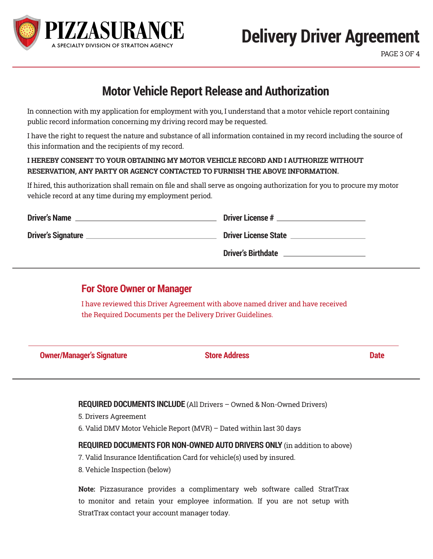

PAGE 3 OF 4

### **Motor Vehicle Report Release and Authorization**

In connection with my application for employment with you, I understand that a motor vehicle report containing public record information concerning my driving record may be requested.

I have the right to request the nature and substance of all information contained in my record including the source of this information and the recipients of my record.

#### I HEREBY CONSENT TO YOUR OBTAINING MY MOTOR VEHICLE RECORD AND I AUTHORIZE WITHOUT RESERVATION, ANY PARTY OR AGENCY CONTACTED TO FURNISH THE ABOVE INFORMATION.

If hired, this authorization shall remain on file and shall serve as ongoing authorization for you to procure my motor vehicle record at any time during my employment period.

| <b>Driver's Name</b><br>the contract of the contract of the contract of the contract of the contract of | <b>Driver License #</b><br><u> 1989 - Jan Sterling Sterling (f. 1989)</u> |
|---------------------------------------------------------------------------------------------------------|---------------------------------------------------------------------------|
| <b>Driver's Signature</b>                                                                               | <b>Driver License State</b>                                               |
|                                                                                                         | <b>Driver's Birthdate</b>                                                 |

### **For Store Owner or Manager**

I have reviewed this Driver Agreement with above named driver and have received the Required Documents per the Delivery Driver Guidelines.

**Owner/Manager's Signature** 

**Store Address** 

**Date** 

**REQUIRED DOCUMENTS INCLUDE** (All Drivers - Owned & Non-Owned Drivers)

- 5. Drivers Agreement
- 6. Valid DMV Motor Vehicle Report (MVR) Dated within last 30 days

#### **REQUIRED DOCUMENTS FOR NON-OWNED AUTO DRIVERS ONLY** (in addition to above)

- 7. Valid Insurance Identification Card for vehicle(s) used by insured.
- 8. Vehicle Inspection (below)

Note: Pizzasurance provides a complimentary web software called StratTrax to monitor and retain your employee information. If you are not setup with StratTrax contact your account manager today.